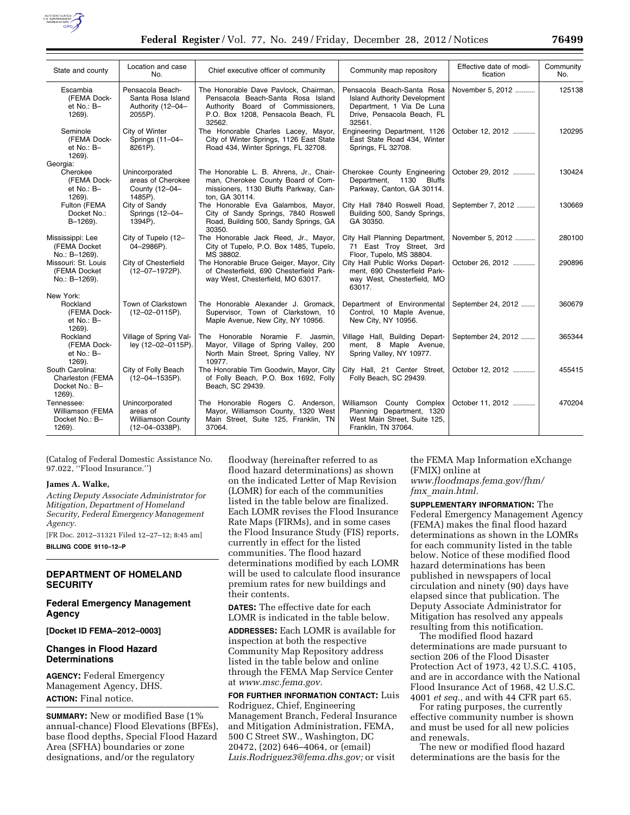

| State and county                                                | Location and case<br>No.                                                 | Chief executive officer of community                                                                                                                            | Community map repository                                                                                                               | Effective date of modi-<br>fication | Community<br>No. |
|-----------------------------------------------------------------|--------------------------------------------------------------------------|-----------------------------------------------------------------------------------------------------------------------------------------------------------------|----------------------------------------------------------------------------------------------------------------------------------------|-------------------------------------|------------------|
| Escambia<br>(FEMA Dock-<br>et $No.: B-$<br>1269).               | Pensacola Beach-<br>Santa Rosa Island<br>Authority (12-04-<br>2055P).    | The Honorable Dave Pavlock, Chairman,<br>Pensacola Beach-Santa Rosa Island<br>Authority Board of Commissioners,<br>P.O. Box 1208, Pensacola Beach, FL<br>32562. | Pensacola Beach-Santa Rosa<br><b>Island Authority Development</b><br>Department, 1 Via De Luna<br>Drive, Pensacola Beach, FL<br>32561. | November 5, 2012                    | 125138           |
| Seminole<br>(FEMA Dock-<br>et No.: B-<br>1269.                  | City of Winter<br>Springs (11-04-<br>8261P).                             | The Honorable Charles Lacey, Mayor,<br>City of Winter Springs, 1126 East State<br>Road 434, Winter Springs, FL 32708.                                           | Engineering Department, 1126<br>East State Road 434, Winter<br>Springs, FL 32708.                                                      | October 12, 2012                    | 120295           |
| Georgia:<br>Cherokee<br>(FEMA Dock-<br>et $No.: B-$<br>1269).   | Unincorporated<br>areas of Cherokee<br>County (12-04-<br>1485P).         | The Honorable L. B. Ahrens, Jr., Chair-<br>man, Cherokee County Board of Com-<br>missioners, 1130 Bluffs Parkway, Can-<br>ton, GA 30114.                        | Cherokee County Engineering<br>1130 Bluffs<br>Department.<br>Parkway, Canton, GA 30114.                                                | October 29, 2012                    | 130424           |
| Fulton (FEMA<br>Docket No.:<br>$B-1269$ ).                      | City of Sandy<br>Springs (12-04-<br>1394P).                              | The Honorable Eva Galambos, Mayor,<br>City of Sandy Springs, 7840 Roswell<br>Road, Building 500, Sandy Springs, GA<br>30350.                                    | City Hall 7840 Roswell Road,<br>Building 500, Sandy Springs,<br>GA 30350.                                                              | September 7, 2012                   | 130669           |
| Mississippi: Lee<br>(FEMA Docket<br>No.: B-1269).               | City of Tupelo (12-<br>04-2986P).                                        | The Honorable Jack Reed, Jr., Mayor,<br>City of Tupelo, P.O. Box 1485, Tupelo,<br>MS 38802.                                                                     | City Hall Planning Department,<br>71 East Troy Street, 3rd<br>Floor, Tupelo, MS 38804.                                                 | November 5, 2012                    | 280100           |
| Missouri: St. Louis<br>(FEMA Docket<br>No.: B-1269).            | City of Chesterfield<br>(12-07-1972P).                                   | The Honorable Bruce Geiger, Mayor, City<br>of Chesterfield, 690 Chesterfield Park-<br>way West, Chesterfield, MO 63017.                                         | City Hall Public Works Depart-<br>ment, 690 Chesterfield Park-<br>way West, Chesterfield, MO<br>63017.                                 | October 26, 2012                    | 290896           |
| New York:<br>Rockland<br>(FEMA Dock-<br>et No.: B-<br>1269).    | Town of Clarkstown<br>$(12 - 02 - 0115P)$ .                              | The Honorable Alexander J. Gromack.<br>Supervisor, Town of Clarkstown, 10<br>Maple Avenue, New City, NY 10956.                                                  | Department of Environmental<br>Control, 10 Maple Avenue,<br>New City, NY 10956.                                                        | September 24, 2012                  | 360679           |
| Rockland<br>(FEMA Dock-<br>et $No.: B-$<br>1269).               | Village of Spring Val-<br>ley (12-02-0115P).                             | The Honorable Noramie F. Jasmin,<br>Mayor, Village of Spring Valley, 200<br>North Main Street, Spring Valley, NY<br>10977.                                      | Village Hall, Building Depart-<br>ment, 8 Maple Avenue,<br>Spring Valley, NY 10977.                                                    | September 24, 2012                  | 365344           |
| South Carolina:<br>Charleston (FEMA<br>Docket No.: B-<br>1269). | City of Folly Beach<br>$(12 - 04 - 1535P)$ .                             | The Honorable Tim Goodwin, Mayor, City<br>of Folly Beach, P.O. Box 1692, Folly<br>Beach, SC 29439.                                                              | City Hall, 21 Center Street,<br>Folly Beach, SC 29439.                                                                                 | October 12, 2012                    | 455415           |
| Tennessee:<br>Williamson (FEMA<br>Docket No.: B-<br>1269).      | Unincorporated<br>areas of<br><b>Williamson County</b><br>(12-04-0338P). | The Honorable Rogers C. Anderson,<br>Mayor, Williamson County, 1320 West<br>Main Street, Suite 125, Franklin, TN<br>37064.                                      | Williamson County Complex<br>Planning Department, 1320<br>West Main Street, Suite 125,<br>Franklin, TN 37064.                          | October 11, 2012                    | 470204           |

(Catalog of Federal Domestic Assistance No. 97.022, ''Flood Insurance.'')

#### **James A. Walke,**

*Acting Deputy Associate Administrator for Mitigation, Department of Homeland Security, Federal Emergency Management Agency.* 

[FR Doc. 2012–31321 Filed 12–27–12; 8:45 am] **BILLING CODE 9110–12–P** 

#### **DEPARTMENT OF HOMELAND SECURITY**

### **Federal Emergency Management Agency**

**[Docket ID FEMA–2012–0003]** 

### **Changes in Flood Hazard Determinations**

**AGENCY:** Federal Emergency Management Agency, DHS. **ACTION:** Final notice.

**SUMMARY:** New or modified Base (1% annual-chance) Flood Elevations (BFEs), base flood depths, Special Flood Hazard Area (SFHA) boundaries or zone designations, and/or the regulatory

floodway (hereinafter referred to as flood hazard determinations) as shown on the indicated Letter of Map Revision (LOMR) for each of the communities listed in the table below are finalized. Each LOMR revises the Flood Insurance Rate Maps (FIRMs), and in some cases the Flood Insurance Study (FIS) reports, currently in effect for the listed communities. The flood hazard determinations modified by each LOMR will be used to calculate flood insurance premium rates for new buildings and their contents.

**DATES:** The effective date for each LOMR is indicated in the table below.

**ADDRESSES:** Each LOMR is available for inspection at both the respective Community Map Repository address listed in the table below and online through the FEMA Map Service Center at *www.msc.fema.gov.* 

**FOR FURTHER INFORMATION CONTACT:** Luis Rodriguez, Chief, Engineering Management Branch, Federal Insurance and Mitigation Administration, FEMA, 500 C Street SW., Washington, DC 20472, (202) 646–4064, or (email) *Luis.Rodriguez3@fema.dhs.gov;* or visit

the FEMA Map Information eXchange (FMIX) online at *www.floodmaps.fema.gov/fhm/ fmx*\_*main.html.* 

**SUPPLEMENTARY INFORMATION:** The Federal Emergency Management Agency (FEMA) makes the final flood hazard determinations as shown in the LOMRs for each community listed in the table below. Notice of these modified flood hazard determinations has been published in newspapers of local circulation and ninety (90) days have elapsed since that publication. The Deputy Associate Administrator for Mitigation has resolved any appeals resulting from this notification.

The modified flood hazard determinations are made pursuant to section 206 of the Flood Disaster Protection Act of 1973, 42 U.S.C. 4105, and are in accordance with the National Flood Insurance Act of 1968, 42 U.S.C. 4001 *et seq.,* and with 44 CFR part 65.

For rating purposes, the currently effective community number is shown and must be used for all new policies and renewals.

The new or modified flood hazard determinations are the basis for the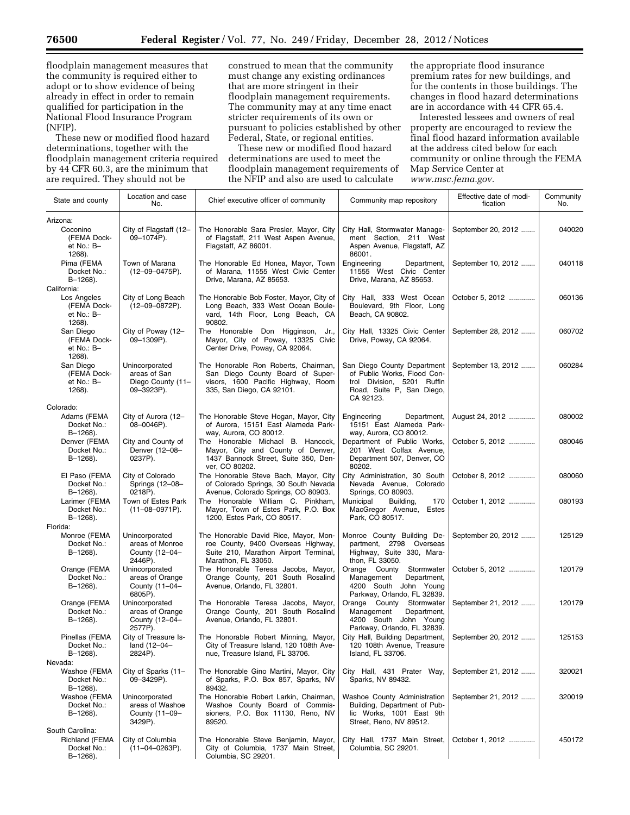floodplain management measures that the community is required either to adopt or to show evidence of being already in effect in order to remain qualified for participation in the National Flood Insurance Program (NFIP).

These new or modified flood hazard determinations, together with the floodplain management criteria required by 44 CFR 60.3, are the minimum that are required. They should not be

construed to mean that the community must change any existing ordinances that are more stringent in their floodplain management requirements. The community may at any time enact stricter requirements of its own or pursuant to policies established by other Federal, State, or regional entities.

These new or modified flood hazard determinations are used to meet the floodplain management requirements of the NFIP and also are used to calculate

the appropriate flood insurance premium rates for new buildings, and for the contents in those buildings. The changes in flood hazard determinations are in accordance with 44 CFR 65.4.

Interested lessees and owners of real property are encouraged to review the final flood hazard information available at the address cited below for each community or online through the FEMA Map Service Center at *www.msc.fema.gov.* 

| State and county                                             | Location and case<br>No.                                          | Chief executive officer of community                                                                                                           | Community map repository                                                                                                           | Effective date of modi-<br>fication | Community<br>No. |
|--------------------------------------------------------------|-------------------------------------------------------------------|------------------------------------------------------------------------------------------------------------------------------------------------|------------------------------------------------------------------------------------------------------------------------------------|-------------------------------------|------------------|
| Arizona:<br>Coconino<br>(FEMA Dock-<br>et No.: B-<br>1268).  | City of Flagstaff (12-<br>09-1074P).                              | The Honorable Sara Presler, Mayor, City<br>of Flagstaff, 211 West Aspen Avenue,<br>Flagstaff, AZ 86001.                                        | City Hall, Stormwater Manage-<br>ment Section, 211 West<br>Aspen Avenue, Flagstaff, AZ<br>86001.                                   | September 20, 2012                  | 040020           |
| Pima (FEMA<br>Docket No.:<br>$B-1268$ ).<br>California:      | Town of Marana<br>$(12 - 09 - 0475P)$ .                           | The Honorable Ed Honea, Mayor, Town<br>of Marana, 11555 West Civic Center<br>Drive, Marana, AZ 85653.                                          | Engineering<br>Department,<br>11555 West Civic Center<br>Drive, Marana, AZ 85653.                                                  | September 10, 2012                  | 040118           |
| Los Angeles<br>(FEMA Dock-<br>et No.: B-<br>1268).           | City of Long Beach<br>$(12-09-0872P)$ .                           | The Honorable Bob Foster, Mayor, City of<br>Long Beach, 333 West Ocean Boule-<br>vard, 14th Floor, Long Beach, CA<br>90802.                    | City Hall, 333 West Ocean<br>Boulevard, 9th Floor, Long<br>Beach, CA 90802.                                                        | October 5, 2012                     | 060136           |
| San Diego<br>(FEMA Dock-<br>et No.: B-<br>1268).             | City of Poway (12-<br>09-1309P).                                  | The Honorable Don Higginson,<br>Jr.,<br>Mayor, City of Poway, 13325 Civic<br>Center Drive, Poway, CA 92064.                                    | City Hall, 13325 Civic Center<br>Drive, Poway, CA 92064.                                                                           | September 28, 2012                  | 060702           |
| San Diego<br>(FEMA Dock-<br>et No.: B-<br>1268).             | Unincorporated<br>areas of San<br>Diego County (11-<br>09-3923P). | The Honorable Ron Roberts, Chairman,<br>San Diego County Board of Super-<br>visors, 1600 Pacific Highway, Room<br>335, San Diego, CA 92101.    | San Diego County Department<br>of Public Works, Flood Con-<br>trol Division, 5201 Ruffin<br>Road, Suite P, San Diego,<br>CA 92123. | September 13, 2012                  | 060284           |
| Colorado:<br>Adams (FEMA                                     | City of Aurora (12-                                               | The Honorable Steve Hogan, Mayor, City                                                                                                         | Department.<br>Engineering                                                                                                         | August 24, 2012                     | 080002           |
| Docket No.:<br>$B-1268$ ).<br>Denver (FEMA<br>Docket No.:    | 08-0046P).<br>City and County of<br>Denver (12-08-                | of Aurora, 15151 East Alameda Park-<br>way, Aurora, CO 80012.<br>The Honorable Michael B. Hancock,<br>Mayor, City and County of Denver,        | 15151 East Alameda Park-<br>way, Aurora, CO 80012.<br>Department of Public Works,<br>201 West Colfax Avenue,                       | October 5, 2012                     | 080046           |
| $B-1268$ ).<br>El Paso (FEMA<br>Docket No.:                  | 0237P).<br>City of Colorado<br>Springs (12-08-                    | 1437 Bannock Street, Suite 350, Den-<br>ver, CO 80202.<br>The Honorable Steve Bach, Mayor, City<br>of Colorado Springs, 30 South Nevada        | Department 507, Denver, CO<br>80202.<br>City Administration, 30 South<br>Nevada Avenue, Colorado                                   | October 8, 2012                     | 080060           |
| $B-1268$ ).<br>Larimer (FEMA<br>Docket No.:<br>$B-1268$ ).   | 0218P).<br>Town of Estes Park<br>$(11-08-0971P)$ .                | Avenue, Colorado Springs, CO 80903.<br>The Honorable William C. Pinkham,<br>Mayor, Town of Estes Park, P.O. Box<br>1200, Estes Park, CO 80517. | Springs, CO 80903.<br>Municipal<br>Building,<br>170<br>MacGregor Avenue, Estes<br>Park, CO 80517.                                  | October 1, 2012                     | 080193           |
| Florida:<br>Monroe (FEMA                                     | Unincorporated                                                    | The Honorable David Rice, Mayor, Mon-                                                                                                          | Monroe County Building De-                                                                                                         | September 20, 2012                  | 125129           |
| Docket No.:<br>$B-1268$ ).                                   | areas of Monroe<br>County (12-04-<br>2446P).                      | roe County, 9400 Overseas Highway,<br>Suite 210, Marathon Airport Terminal,<br>Marathon, FL 33050.                                             | partment, 2798 Overseas<br>Highway, Suite 330, Mara-<br>thon, FL 33050.                                                            |                                     |                  |
| Orange (FEMA<br>Docket No.:<br>$B-1268$ ).                   | Unincorporated<br>areas of Orange<br>County (11-04-<br>6805P).    | The Honorable Teresa Jacobs, Mayor,<br>Orange County, 201 South Rosalind<br>Avenue, Orlando, FL 32801.                                         | Orange County<br>Stormwater<br>Department,<br>Management<br>4200 South John Young<br>Parkway, Orlando, FL 32839.                   | October 5, 2012                     | 120179           |
| Orange (FEMA<br>Docket No.:<br>$B-1268$ ).                   | Unincorporated<br>areas of Orange<br>County (12-04-<br>2577P).    | The Honorable Teresa Jacobs, Mayor,<br>Orange County, 201 South Rosalind<br>Avenue, Orlando, FL 32801.                                         | Orange County Stormwater<br>Management<br>Department,<br>4200 South John Young<br>Parkway, Orlando, FL 32839.                      | September 21, 2012                  | 120179           |
| Pinellas (FEMA<br>Docket No.:<br>B-1268).                    | City of Treasure Is-<br>land (12-04-<br>2824P).                   | The Honorable Robert Minning, Mayor,<br>City of Treasure Island, 120 108th Ave-<br>nue, Treasure Island, FL 33706.                             | City Hall, Building Department,<br>120 108th Avenue, Treasure<br>Island, FL 33706.                                                 | September 20, 2012                  | 125153           |
| Nevada:<br>Washoe (FEMA<br>Docket No.:<br>$B-1268$ ).        | City of Sparks (11-<br>09-3429P).                                 | The Honorable Gino Martini, Mayor, City<br>of Sparks, P.O. Box 857, Sparks, NV<br>89432.                                                       | City Hall, 431 Prater Way,<br>Sparks, NV 89432.                                                                                    | September 21, 2012                  | 320021           |
| Washoe (FEMA<br>Docket No.:<br>$B-1268$ ).                   | Unincorporated<br>areas of Washoe<br>County (11-09-<br>3429P).    | The Honorable Robert Larkin, Chairman,<br>Washoe County Board of Commis-<br>sioners, P.O. Box 11130, Reno, NV<br>89520.                        | Washoe County Administration<br>Building, Department of Pub-<br>lic Works, 1001 East 9th<br>Street, Reno, NV 89512.                | September 21, 2012                  | 320019           |
| South Carolina:<br>Richland (FEMA<br>Docket No.:<br>B-1268). | City of Columbia<br>$(11-04-0263P)$ .                             | The Honorable Steve Benjamin, Mayor,<br>City of Columbia, 1737 Main Street,<br>Columbia, SC 29201.                                             | City Hall, 1737 Main Street,<br>Columbia, SC 29201.                                                                                | October 1, 2012                     | 450172           |